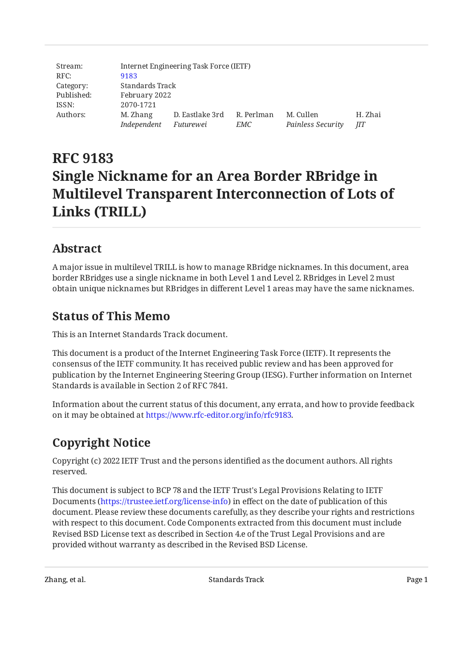| Stream:    |             | Internet Engineering Task Force (IETF) |            |                   |         |  |
|------------|-------------|----------------------------------------|------------|-------------------|---------|--|
| RFC:       | 9183        |                                        |            |                   |         |  |
| Category:  |             | Standards Track                        |            |                   |         |  |
| Published: |             | February 2022                          |            |                   |         |  |
| ISSN:      | 2070-1721   |                                        |            |                   |         |  |
| Authors:   | M. Zhang    | D. Eastlake 3rd                        | R. Perlman | M. Cullen         | H. Zhai |  |
|            | Independent | Futurewei                              | EMC        | Painless Security | JIT     |  |

# **RFC 9183 Single Nickname for an Area Border RBridge in Multilevel Transparent Interconnection of Lots of Links (TRILL)**

# <span id="page-0-0"></span>**[Abstract](#page-0-0)**

A major issue in multilevel TRILL is how to manage RBridge nicknames. In this document, area border RBridges use a single nickname in both Level 1 and Level 2. RBridges in Level 2 must obtain unique nicknames but RBridges in different Level 1 areas may have the same nicknames.

## <span id="page-0-1"></span>**[Status of This Memo](#page-0-1)**

This is an Internet Standards Track document.

This document is a product of the Internet Engineering Task Force (IETF). It represents the consensus of the IETF community. It has received public review and has been approved for publication by the Internet Engineering Steering Group (IESG). Further information on Internet Standards is available in Section 2 of RFC 7841.

Information about the current status of this document, any errata, and how to provide feedback on it may be obtained at [https://www.rfc-editor.org/info/rfc9183.](https://www.rfc-editor.org/info/rfc9183)

# <span id="page-0-2"></span>**[Copyright Notice](#page-0-2)**

Copyright (c) 2022 IETF Trust and the persons identified as the document authors. All rights reserved.

This document is subject to BCP 78 and the IETF Trust's Legal Provisions Relating to IETF Documents (<https://trustee.ietf.org/license-info>) in effect on the date of publication of this document. Please review these documents carefully, as they describe your rights and restrictions with respect to this document. Code Components extracted from this document must include Revised BSD License text as described in Section 4.e of the Trust Legal Provisions and are provided without warranty as described in the Revised BSD License.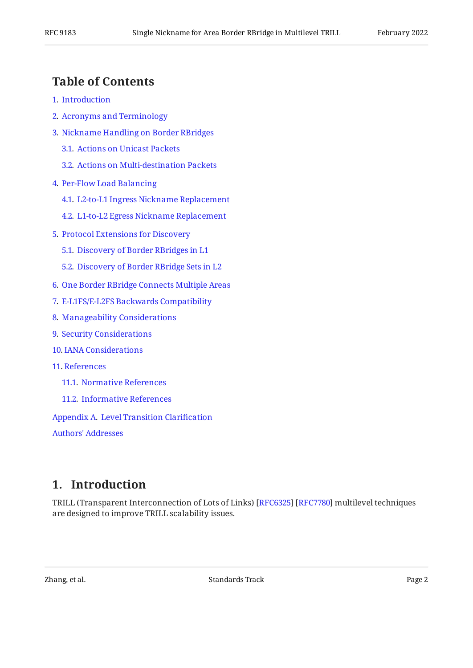## <span id="page-1-0"></span>**[Table of Contents](#page-1-0)**

- [1](#page-1-1). [Introduction](#page-1-1)
- [2](#page-2-0). [Acronyms and Terminology](#page-2-0)
- [3](#page-3-0). [Nickname Handling on Border RBridges](#page-3-0)
	- [3.1.](#page-3-1) [Actions on Unicast Packets](#page-3-1)
	- [3.2.](#page-4-0) [Actions on Multi-destination Packets](#page-4-0)
- [4](#page-5-0). [Per-Flow Load Balancing](#page-5-0)
	- [4.1.](#page-5-1) [L2-to-L1 Ingress Nickname Replacement](#page-5-1)
	- [4.2.](#page-6-0) [L1-to-L2 Egress Nickname Replacement](#page-6-0)
- [5](#page-6-1). [Protocol Extensions for Discovery](#page-6-1)
	- [5.1.](#page-6-2) [Discovery of Border RBridges in L1](#page-6-2)
	- [5.2.](#page-7-0) [Discovery of Border RBridge Sets in L2](#page-7-0)
- [6](#page-7-1). [One Border RBridge Connects Multiple Areas](#page-7-1)
- [7](#page-8-0). [E-L1FS/E-L2FS Backwards Compatibility](#page-8-0)
- [8](#page-8-1). [Manageability Considerations](#page-8-1)
- [9](#page-9-0). [Security Considerations](#page-9-0)
- [10](#page-9-1). [IANA Considerations](#page-9-1)
- [11](#page-10-0). [References](#page-10-0)
	- [11.1.](#page-10-1) [Normative References](#page-10-1)
	- [11.2.](#page-11-0) [Informative References](#page-11-0)

[Appendix A.](#page-11-1) [Level Transition Clari](#page-11-1)fication

[Authors' Addresses](#page-12-0)

## <span id="page-1-1"></span>**[1. Introduction](#page-1-1)**

TRILL (Transparent Interconnection of Lots of Links) [RFC6325] [RFC7780] multilevel techniques are designed to improve TRILL scalability issues.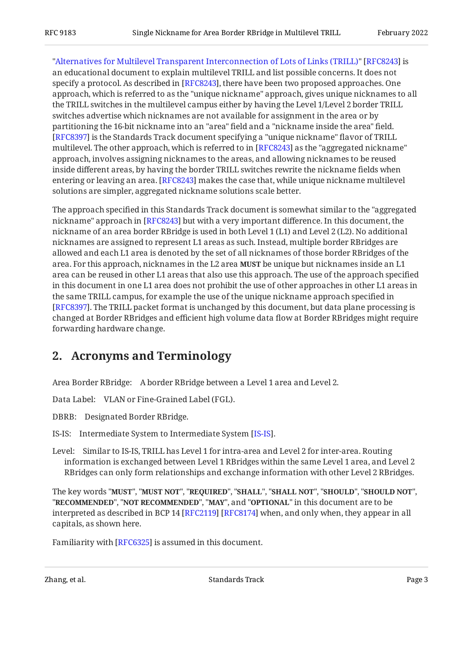"[Alternatives for Multilevel Transparent Interconnection of Lots of Links \(TRILL\)"](#page-11-2) [\[RFC8243\]](#page-11-2) is an educational document to explain multilevel TRILL and list possible concerns. It does not specify a protocol. As described in [RFC8243], there have been two proposed approaches. One approach, which is referred to as the "unique nickname" approach, gives unique nicknames to all the TRILL switches in the multilevel campus either by having the Level 1/Level 2 border TRILL switches advertise which nicknames are not available for assignment in the area or by partitioning the 16-bit nickname into an "area" field and a "nickname inside the area" field. [[RFC8397\]](#page-11-3) is the Standards Track document specifying a "unique nickname" flavor of TRILL multilevel. The other approach, which is referred to in [RFC8243] as the "aggregated nickname" approach, involves assigning nicknames to the areas, and allowing nicknames to be reused inside different areas, by having the border TRILL switches rewrite the nickname fields when entering or leaving an area. [RFC8243] makes the case that, while unique nickname multilevel solutions are simpler, aggregated nickname solutions scale better.

The approach specified in this Standards Track document is somewhat similar to the "aggregated nickname" approach in [RFC8243] but with a very important difference. In this document, the nickname of an area border RBridge is used in both Level 1 (L1) and Level 2 (L2). No additional nicknames are assigned to represent L1 areas as such. Instead, multiple border RBridges are allowed and each L1 area is denoted by the set of all nicknames of those border RBridges of the area. For this approach, nicknames in the L2 area **MUST** be unique but nicknames inside an L1 area can be reused in other L1 areas that also use this approach. The use of the approach specified in this document in one L1 area does not prohibit the use of other approaches in other L1 areas in the same TRILL campus, for example the use of the unique nickname approach specified in . The TRILL packet format is unchanged by this document, but data plane processing is [[RFC8397\]](#page-11-3) changed at Border RBridges and efficient high volume data flow at Border RBridges might require forwarding hardware change.

## <span id="page-2-0"></span>**[2. Acronyms and Terminology](#page-2-0)**

Area Border RBridge: A border RBridge between a Level 1 area and Level 2.

Data Label: VLAN or Fine-Grained Label (FGL).

DBRB: Designated Border RBridge.

IS-IS: Intermediate System to Intermediate System [IS-IS].

Level: Similar to IS-IS, TRILL has Level 1 for intra-area and Level 2 for inter-area. Routing information is exchanged between Level 1 RBridges within the same Level 1 area, and Level 2 RBridges can only form relationships and exchange information with other Level 2 RBridges.

The key words "MUST", "MUST NOT", "REQUIRED", "SHALL", "SHALL NOT", "SHOULD", "SHOULD NOT", "**RECOMMENDED", "NOT RECOMMENDED", "MAY",** and "OPTIONAL" in this document are to be interpreted as described in BCP 14 [RFC2119] [RFC8174] when, and only when, they appear in all capitals, as shown here.

Familiarity with [\[RFC6325](#page-10-2)] is assumed in this document.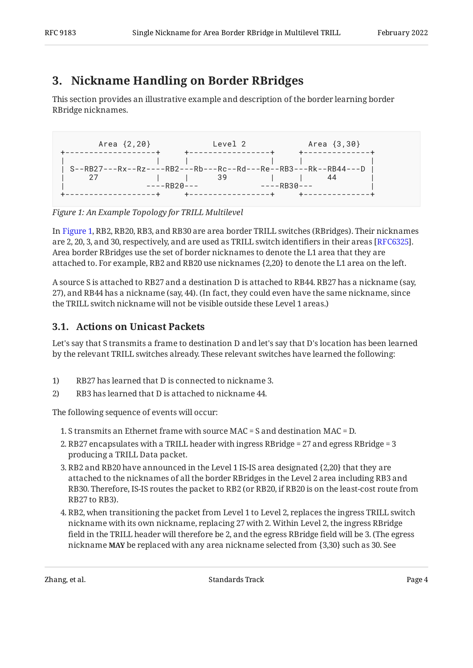# <span id="page-3-0"></span>**[3. Nickname Handling on Border RBridges](#page-3-0)**

This section provides an illustrative example and description of the border learning border RBridge nicknames.

<span id="page-3-2"></span> Area {2,20} Level 2 Area {3,30} +-------------------+ +-----------------+ +--------------+ | | | | | | | S--RB27---Rx--Rz----RB2---Rb---Rc--Rd---Re--RB3---Rk--RB44---D | | 27 | | 39 | | 44 | | ----RB20--- ----RB30--- | +-------------------+ +-----------------+ +--------------+

*[Figure 1: An Example Topology for TRILL Multilevel](#page-3-2)* 

In [Figure 1,](#page-3-2) RB2, RB20, RB3, and RB30 are area border TRILL switches (RBridges). Their nicknames are 2, 20, 3, and 30, respectively, and are used as TRILL switch identifiers in their areas [RFC6325]. Area border RBridges use the set of border nicknames to denote the L1 area that they are attached to. For example, RB2 and RB20 use nicknames {2,20} to denote the L1 area on the left.

A source S is attached to RB27 and a destination D is attached to RB44. RB27 has a nickname (say, 27), and RB44 has a nickname (say, 44). (In fact, they could even have the same nickname, since the TRILL switch nickname will not be visible outside these Level 1 areas.)

### <span id="page-3-1"></span>**[3.1. Actions on Unicast Packets](#page-3-1)**

Let's say that S transmits a frame to destination D and let's say that D's location has been learned by the relevant TRILL switches already. These relevant switches have learned the following:

- 1) RB27 has learned that D is connected to nickname 3.
- 2) RB3 has learned that D is attached to nickname 44.

The following sequence of events will occur:

- 1. S transmits an Ethernet frame with source MAC = S and destination MAC = D.
- 2. RB27 encapsulates with a TRILL header with ingress RBridge = 27 and egress RBridge = 3 producing a TRILL Data packet.
- RB2 and RB20 have announced in the Level 1 IS-IS area designated {2,20} that they are 3. attached to the nicknames of all the border RBridges in the Level 2 area including RB3 and RB30. Therefore, IS-IS routes the packet to RB2 (or RB20, if RB20 is on the least-cost route from RB27 to RB3).
- RB2, when transitioning the packet from Level 1 to Level 2, replaces the ingress TRILL switch 4. nickname with its own nickname, replacing 27 with 2. Within Level 2, the ingress RBridge field in the TRILL header will therefore be 2, and the egress RBridge field will be 3. (The egress nickname **MAY** be replaced with any area nickname selected from {3,30} such as 30. See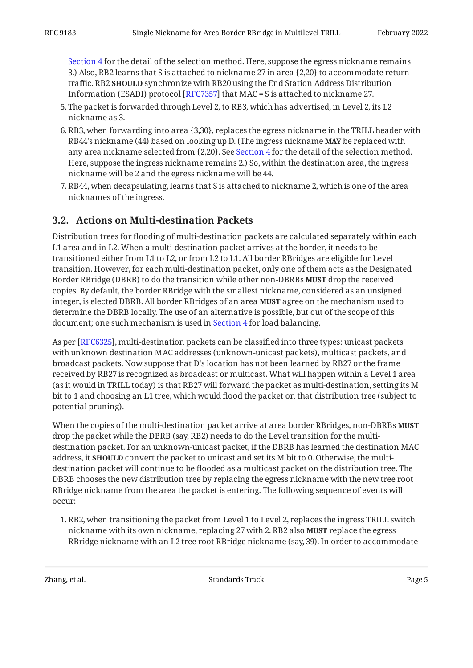[Section 4](#page-5-0) for the detail of the selection method. Here, suppose the egress nickname remains 3.) Also, RB2 learns that S is attached to nickname 27 in area {2,20} to accommodate return traffic. RB2 **SHOULD** synchronize with RB20 using the End Station Address Distribution Information (ESADI) protocol [RFC7357] that MAC = S is attached to nickname 27.  $\,$ 

- 5. The packet is forwarded through Level 2, to RB3, which has advertised, in Level 2, its L2 nickname as 3.
- 6. RB3, when forwarding into area {3,30}, replaces the egress nickname in the TRILL header with RB44's nickname (44) based on looking up D. (The ingress nickname **MAY** be replaced with any area nickname selected from {2,20}. See [Section 4](#page-5-0) for the detail of the selection method. Here, suppose the ingress nickname remains 2.) So, within the destination area, the ingress nickname will be 2 and the egress nickname will be 44.
- RB44, when decapsulating, learns that S is attached to nickname 2, which is one of the area 7. nicknames of the ingress.

### <span id="page-4-0"></span>**[3.2. Actions on Multi-destination Packets](#page-4-0)**

Distribution trees for flooding of multi-destination packets are calculated separately within each L1 area and in L2. When a multi-destination packet arrives at the border, it needs to be transitioned either from L1 to L2, or from L2 to L1. All border RBridges are eligible for Level transition. However, for each multi-destination packet, only one of them acts as the Designated Border RBridge (DBRB) to do the transition while other non-DBRBs **MUST** drop the received copies. By default, the border RBridge with the smallest nickname, considered as an unsigned integer, is elected DBRB. All border RBridges of an area **MUST** agree on the mechanism used to determine the DBRB locally. The use of an alternative is possible, but out of the scope of this document; one such mechanism is used in [Section 4](#page-5-0) for load balancing.

As per [RFC6325], multi-destination packets can be classified into three types: unicast packets with unknown destination MAC addresses (unknown-unicast packets), multicast packets, and broadcast packets. Now suppose that D's location has not been learned by RB27 or the frame received by RB27 is recognized as broadcast or multicast. What will happen within a Level 1 area (as it would in TRILL today) is that RB27 will forward the packet as multi-destination, setting its M bit to 1 and choosing an L1 tree, which would flood the packet on that distribution tree (subject to potential pruning).

When the copies of the multi-destination packet arrive at area border RBridges, non-DBRBs **MUST** drop the packet while the DBRB (say, RB2) needs to do the Level transition for the multidestination packet. For an unknown-unicast packet, if the DBRB has learned the destination MAC address, it **SHOULD** convert the packet to unicast and set its M bit to 0. Otherwise, the multidestination packet will continue to be flooded as a multicast packet on the distribution tree. The DBRB chooses the new distribution tree by replacing the egress nickname with the new tree root RBridge nickname from the area the packet is entering. The following sequence of events will occur:

1. RB2, when transitioning the packet from Level 1 to Level 2, replaces the ingress TRILL switch nickname with its own nickname, replacing 27 with 2. RB2 also **MUST** replace the egress RBridge nickname with an L2 tree root RBridge nickname (say, 39). In order to accommodate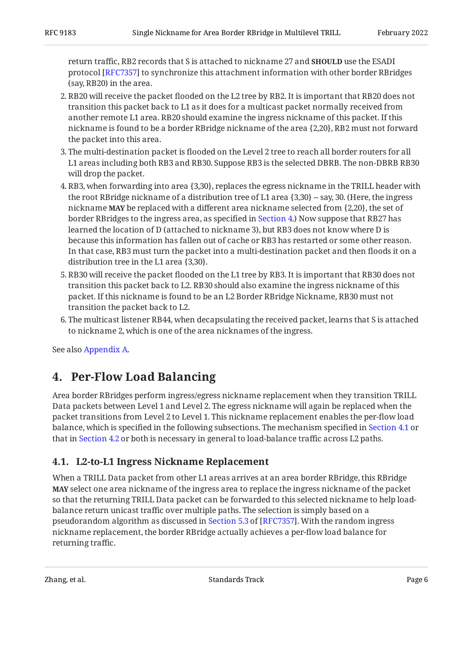return traffic, RB2 records that S is attached to nickname 27 and **SHOULD** use the ESADI protocol [RFC7357] to synchronize this attachment information with other border RBridges (say, RB20) in the area.

- 2. RB20 will receive the packet flooded on the L2 tree by RB2. It is important that RB20 does not transition this packet back to L1 as it does for a multicast packet normally received from another remote L1 area. RB20 should examine the ingress nickname of this packet. If this nickname is found to be a border RBridge nickname of the area {2,20}, RB2 must not forward the packet into this area.
- The multi-destination packet is flooded on the Level 2 tree to reach all border routers for all 3. L1 areas including both RB3 and RB30. Suppose RB3 is the selected DBRB. The non-DBRB RB30 will drop the packet.
- RB3, when forwarding into area {3,30}, replaces the egress nickname in the TRILL header with 4. the root RBridge nickname of a distribution tree of L1 area  $\{3,30\}$  -- say, 30. (Here, the ingress nickname **MAY** be replaced with a different area nickname selected from {2,20}, the set of border RBridges to the ingress area, as specified in [Section 4.](#page-5-0)) Now suppose that RB27 has learned the location of D (attached to nickname 3), but RB3 does not know where D is because this information has fallen out of cache or RB3 has restarted or some other reason. In that case, RB3 must turn the packet into a multi-destination packet and then floods it on a distribution tree in the L1 area {3,30}.
- 5. RB30 will receive the packet flooded on the L1 tree by RB3. It is important that RB30 does not transition this packet back to L2. RB30 should also examine the ingress nickname of this packet. If this nickname is found to be an L2 Border RBridge Nickname, RB30 must not transition the packet back to L2.
- 6. The multicast listener RB44, when decapsulating the received packet, learns that S is attached to nickname 2, which is one of the area nicknames of the ingress.

<span id="page-5-0"></span>See also [Appendix A.](#page-11-1)

## **[4. Per-Flow Load Balancing](#page-5-0)**

Area border RBridges perform ingress/egress nickname replacement when they transition TRILL Data packets between Level 1 and Level 2. The egress nickname will again be replaced when the packet transitions from Level 2 to Level 1. This nickname replacement enables the per-flow load balance, which is specified in the following subsections. The mechanism specified in [Section 4.1](#page-5-1) or that in [Section 4.2](#page-6-0) or both is necessary in general to load-balance traffic across L2 paths.

### <span id="page-5-1"></span>**[4.1. L2-to-L1 Ingress Nickname Replacement](#page-5-1)**

When a TRILL Data packet from other L1 areas arrives at an area border RBridge, this RBridge **MAY** select one area nickname of the ingress area to replace the ingress nickname of the packet so that the returning TRILL Data packet can be forwarded to this selected nickname to help loadbalance return unicast traffic over multiple paths. The selection is simply based on a pseudorandomalgorithm as discussed in Section 5.3 of [RFC7357]. With the random ingress nickname replacement, the border RBridge actually achieves a per-flow load balance for returning traffic.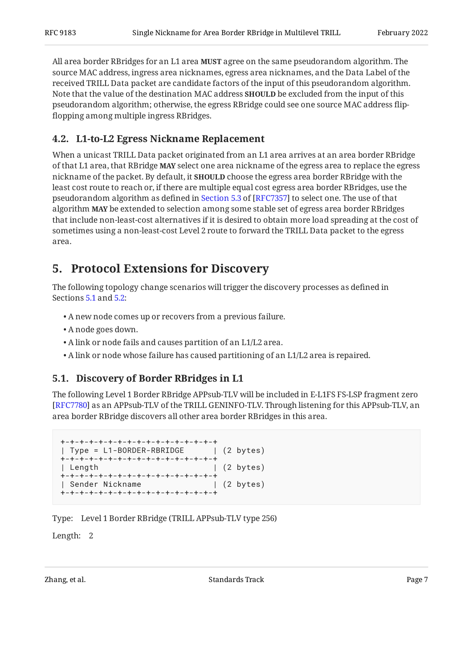All area border RBridges for an L1 area **MUST** agree on the same pseudorandom algorithm. The source MAC address, ingress area nicknames, egress area nicknames, and the Data Label of the received TRILL Data packet are candidate factors of the input of this pseudorandom algorithm. Note that the value of the destination MAC address **SHOULD** be excluded from the input of this pseudorandom algorithm; otherwise, the egress RBridge could see one source MAC address flipflopping among multiple ingress RBridges.

### <span id="page-6-0"></span>**[4.2. L1-to-L2 Egress Nickname Replacement](#page-6-0)**

When a unicast TRILL Data packet originated from an L1 area arrives at an area border RBridge of that L1 area, that RBridge MAY select one area nickname of the egress area to replace the egress nickname of the packet. By default, it **SHOULD** choose the egress area border RBridge with the least cost route to reach or, if there are multiple equal cost egress area border RBridges, use the pseudorandomalgorithm as defined in Section 5.3 of [RFC7357] to select one. The use of that algorithm MAY be extended to selection among some stable set of egress area border RBridges that include non-least-cost alternatives if it is desired to obtain more load spreading at the cost of sometimes using a non-least-cost Level 2 route to forward the TRILL Data packet to the egress area.

## <span id="page-6-1"></span>**[5. Protocol Extensions for Discovery](#page-6-1)**

The following topology change scenarios will trigger the discovery processes as defined in Sections [5.1](#page-6-2) and [5.2:](#page-7-0)

- A new node comes up or recovers from a previous failure. •
- A node goes down. •
- A link or node fails and causes partition of an L1/L2 area. •
- <span id="page-6-2"></span>A link or node whose failure has caused partitioning of an L1/L2 area is repaired. •

#### **[5.1. Discovery of Border RBridges in L1](#page-6-2)**

The following Level 1 Border RBridge APPsub-TLV will be included in E-L1FS FS-LSP fragment zero [[RFC7780\]](#page-10-3) as an APPsub-TLV of the TRILL GENINFO-TLV. Through listening for this APPsub-TLV, an area border RBridge discovers all other area border RBridges in this area.

```
+-+-+-+-+-+-+-+-+-+-+-+-+-+-+-+-+
| Type = L1-BORDER-RBRIDGE | (2 bytes)
+-+-+-+-+-+-+-+-+-+-+-+-+-+-+-+-+
| Length | (2 bytes)
+-+-+-+-+-+-+-+-+-+-+-+-+-+-+-+-+
| Sender Nickname | (2 bytes)
+-+-+-+-+-+-+-+-+-+-+-+-+-+-+-+-+
```
Type: Level 1 Border RBridge (TRILL APPsub-TLV type 256)

Length: 2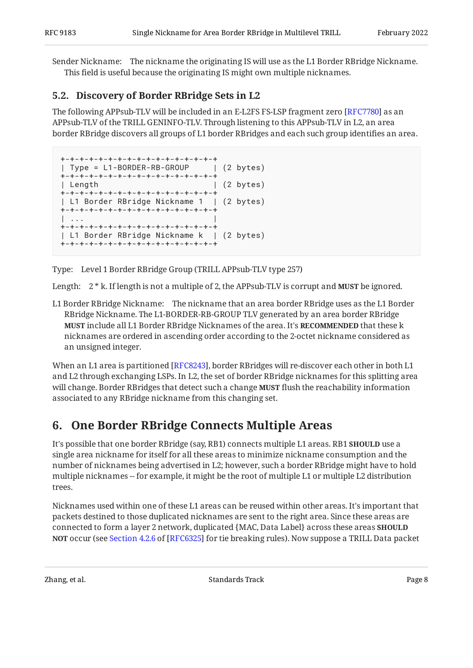Sender Nickname: The nickname the originating IS will use as the L1 Border RBridge Nickname. This field is useful because the originating IS might own multiple nicknames.

### <span id="page-7-0"></span>**[5.2. Discovery of Border RBridge Sets in L2](#page-7-0)**

The following APPsub-TLV will be included in an E-L2FS FS-LSP fragment zero [RFC7780] as an APPsub-TLV of the TRILL GENINFO-TLV. Through listening to this APPsub-TLV in L2, an area border RBridge discovers all groups of L1 border RBridges and each such group identifies an area.

```
+-+-+-+-+-+-+-+-+-+-+-+-+-+-+-+-+-+<br>| Type = L1-BORDER-RB-GROUP | (2 bytes)
| Type = L1-BORDER-RB-GROUP
+-+-+-+-+-+-+-+-+-+-+-+-+-+-+-+-+
| Length | (2 bytes)
+-+-+-+-+-+-+-+-+-+-+-+-+-+-+-+-+
| L1 Border RBridge Nickname 1 | (2 bytes)
+-+-+-+-+-+-+-+-+-+-+-+-+-+-+-+-+
| ... |
+-+-+-+-+-+-+-+-+-+-+-+-+-+-+-+-+
| L1 Border RBridge Nickname k | (2 bytes)
+-+-+-+-+-+-+-+-+-+-+-+-+-+-+-+-+
```
Type: Level 1 Border RBridge Group (TRILL APPsub-TLV type 257)

Length:  $2 * k$ . If length is not a multiple of 2, the APPsub-TLV is corrupt and **MUST** be ignored.

L1 Border RBridge Nickname: The nickname that an area border RBridge uses as the L1 Border RBridge Nickname. The L1-BORDER-RB-GROUP TLV generated by an area border RBridge **MUST** include all L1 Border RBridge Nicknames of the area. It's **RECOMMENDED** that these k nicknames are ordered in ascending order according to the 2-octet nickname considered as an unsigned integer.

When an L1 area is partitioned [RFC8243], border RBridges will re-discover each other in both L1  $\,$ and L2 through exchanging LSPs. In L2, the set of border RBridge nicknames for this splitting area will change. Border RBridges that detect such a change **MUST** flush the reachability information associated to any RBridge nickname from this changing set.

# <span id="page-7-1"></span>**[6. One Border RBridge Connects Multiple Areas](#page-7-1)**

It's possible that one border RBridge (say, RB1) connects multiple L1 areas. RB1 **SHOULD** use a single area nickname for itself for all these areas to minimize nickname consumption and the number of nicknames being advertised in L2; however, such a border RBridge might have to hold multiple nicknames -- for example, it might be the root of multiple L1 or multiple L2 distribution trees.

Nicknames used within one of these L1 areas can be reused within other areas. It's important that packets destined to those duplicated nicknames are sent to the right area. Since these areas are connected to form a layer 2 network, duplicated {MAC, Data Label} across these areas **SHOULD NOT**occur (see Section 4.2.6 of [RFC6325] for tie breaking rules). Now suppose a TRILL Data packet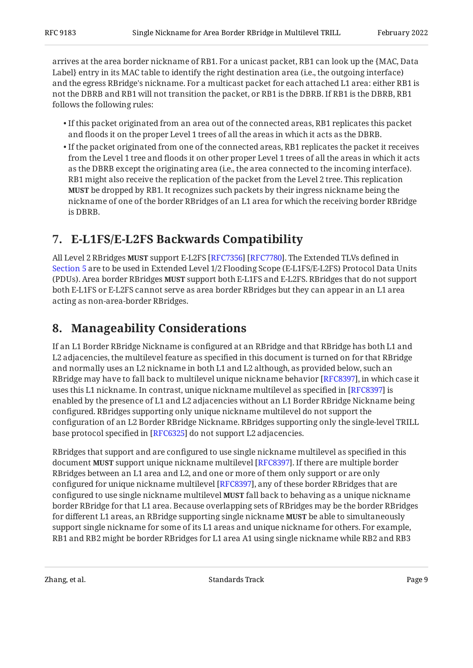arrives at the area border nickname of RB1. For a unicast packet, RB1 can look up the {MAC, Data Label} entry in its MAC table to identify the right destination area (i.e., the outgoing interface) and the egress RBridge's nickname. For a multicast packet for each attached L1 area: either RB1 is not the DBRB and RB1 will not transition the packet, or RB1 is the DBRB. If RB1 is the DBRB, RB1 follows the following rules:

- $\bullet$  If this packet originated from an area out of the connected areas, RB1 replicates this packet and floods it on the proper Level 1 trees of all the areas in which it acts as the DBRB.
- $\bullet$  If the packet originated from one of the connected areas, RB1 replicates the packet it receives from the Level 1 tree and floods it on other proper Level 1 trees of all the areas in which it acts as the DBRB except the originating area (i.e., the area connected to the incoming interface). RB1 might also receive the replication of the packet from the Level 2 tree. This replication be dropped by RB1. It recognizes such packets by their ingress nickname being the **MUST** nickname of one of the border RBridges of an L1 area for which the receiving border RBridge is DBRB.

# <span id="page-8-0"></span>**[7. E-L1FS/E-L2FS Backwards Compatibility](#page-8-0)**

All Level 2 RBridges **MUST** support E-L2FS [RFC7356] [RFC7780]. The Extended TLVs defined in [Section 5](#page-6-1) are to be used in Extended Level 1/2 Flooding Scope (E-L1FS/E-L2FS) Protocol Data Units (PDUs). Area border RBridges **MUST** support both E-L1FS and E-L2FS. RBridges that do not support both E-L1FS or E-L2FS cannot serve as area border RBridges but they can appear in an L1 area acting as non-area-border RBridges.

# <span id="page-8-1"></span>**[8. Manageability Considerations](#page-8-1)**

If an L1 Border RBridge Nickname is configured at an RBridge and that RBridge has both L1 and L2 adjacencies, the multilevel feature as specified in this document is turned on for that RBridge and normally uses an L2 nickname in both L1 and L2 although, as provided below, such an RBridge may have to fall back to multilevel unique nickname behavior [\[RFC8397\]](#page-11-3), in which case it uses this L1 nickname. In contrast, unique nickname multilevel as specified in [RFC8397] is enabled by the presence of L1 and L2 adjacencies without an L1 Border RBridge Nickname being configured. RBridges supporting only unique nickname multilevel do not support the configuration of an L2 Border RBridge Nickname. RBridges supporting only the single-level TRILL base protocol specified in [[RFC6325\]](#page-10-2) do not support L2 adjacencies.

RBridges that support and are configured to use single nickname multilevel as specified in this document **MUST** support unique nickname multilevel [RFC8397]. If there are multiple border RBridges between an L1 area and L2, and one or more of them only support or are only configured for unique nickname multilevel [RFC8397], any of these border RBridges that are configured to use single nickname multilevel **MUST** fall back to behaving as a unique nickname border RBridge for that L1 area. Because overlapping sets of RBridges may be the border RBridges for different L1 areas, an RBridge supporting single nickname **MUST** be able to simultaneously support single nickname for some of its L1 areas and unique nickname for others. For example, RB1 and RB2 might be border RBridges for L1 area A1 using single nickname while RB2 and RB3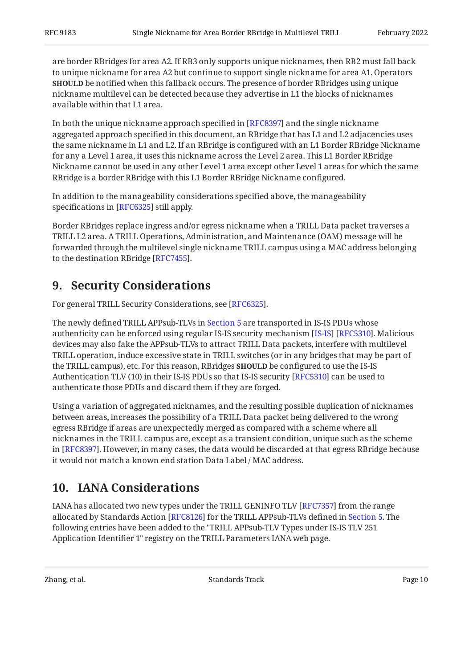are border RBridges for area A2. If RB3 only supports unique nicknames, then RB2 must fall back to unique nickname for area A2 but continue to support single nickname for area A1. Operators **SHOULD** be notified when this fallback occurs. The presence of border RBridges using unique nickname multilevel can be detected because they advertise in L1 the blocks of nicknames available within that L1 area.

In both the unique nickname approach specified in [RFC8397] and the single nickname aggregated approach specified in this document, an RBridge that has L1 and L2 adjacencies uses the same nickname in L1 and L2. If an RBridge is configured with an L1 Border RBridge Nickname for any a Level 1 area, it uses this nickname across the Level 2 area. This L1 Border RBridge Nickname cannot be used in any other Level 1 area except other Level 1 areas for which the same RBridge is a border RBridge with this L1 Border RBridge Nickname configured.

In addition to the manageability considerations specified above, the manageability specifications in [RFC6325] still apply.

Border RBridges replace ingress and/or egress nickname when a TRILL Data packet traverses a TRILL L2 area. A TRILL Operations, Administration, and Maintenance (OAM) message will be forwarded through the multilevel single nickname TRILL campus using a MAC address belonging to the destination RBridge [RFC7455].

# <span id="page-9-0"></span>**[9. Security Considerations](#page-9-0)**

For general TRILL Security Considerations, see [RFC6325].

The newly defined TRILL APPsub-TLVs in [Section 5](#page-6-1) are transported in IS-IS PDUs whose authenticity can be enforced using regular IS-IS security mechanism [[IS-IS\]](#page-11-4) [[RFC5310\]](#page-11-5). Malicious devices may also fake the APPsub-TLVs to attract TRILL Data packets, interfere with multilevel TRILL operation, induce excessive state in TRILL switches (or in any bridges that may be part of the TRILL campus), etc. For this reason, RBridges **SHOULD** be configured to use the IS-IS Authentication TLV (10) in their IS-IS PDUs so that IS-IS security [RFC5310] can be used to authenticate those PDUs and discard them if they are forged.

Using a variation of aggregated nicknames, and the resulting possible duplication of nicknames between areas, increases the possibility of a TRILL Data packet being delivered to the wrong egress RBridge if areas are unexpectedly merged as compared with a scheme where all nicknames in the TRILL campus are, except as a transient condition, unique such as the scheme in [RFC8397]. However, in many cases, the data would be discarded at that egress RBridge because it would not match a known end station Data Label / MAC address.

# <span id="page-9-1"></span>**[10. IANA Considerations](#page-9-1)**

IANA has allocated two new types under the TRILL GENINFO TLV [\[RFC7357\]](#page-10-6) from the range allocated by Standards Action [RFC8126] for the TRILL APPsub-TLVs defined in [Section 5.](#page-6-1) The following entries have been added to the "TRILL APPsub-TLV Types under IS-IS TLV 251 Application Identifier 1" registry on the TRILL Parameters IANA web page.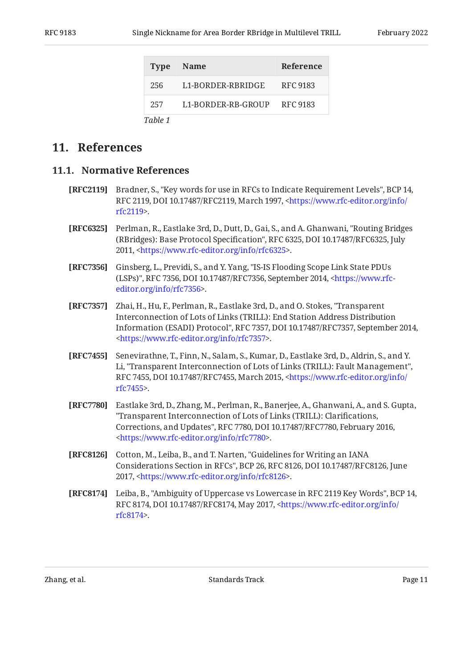<span id="page-10-10"></span>

|         | Type Name                   | <b>Reference</b> |
|---------|-----------------------------|------------------|
| 256     | L1-BORDER-RBRIDGE           | RFC 9183         |
| 257     | L1-BORDER-RB-GROUP RFC 9183 |                  |
| Table 1 |                             |                  |

### <span id="page-10-1"></span><span id="page-10-0"></span>**[11. References](#page-10-0)**

#### **[11.1. Normative References](#page-10-1)**

- <span id="page-10-4"></span>**[RFC2119]** Bradner, S., "Key words for use in RFCs to Indicate Requirement Levels", BCP 14, RFC 2119, DOI 10.17487/RFC2119, March 1997, [<https://www.rfc-editor.org/info/](https://www.rfc-editor.org/info/rfc2119) . [rfc2119](https://www.rfc-editor.org/info/rfc2119)>
- <span id="page-10-2"></span>**[RFC6325]** Perlman, R., Eastlake 3rd, D., Dutt, D., Gai, S., and A. Ghanwani, "Routing Bridges (RBridges): Base Protocol Specification", RFC 6325, DOI 10.17487/RFC6325, July 2011, <[https://www.rfc-editor.org/info/rfc6325>](https://www.rfc-editor.org/info/rfc6325).
- <span id="page-10-7"></span>**[RFC7356]** Ginsberg, L., Previdi, S., and Y. Yang, "IS-IS Flooding Scope Link State PDUs (LSPs)", RFC 7356, DOI 10.17487/RFC7356, September 2014, [<https://www.rfc-](https://www.rfc-editor.org/info/rfc7356). [editor.org/info/rfc7356](https://www.rfc-editor.org/info/rfc7356)>
- <span id="page-10-6"></span>**[RFC7357]** Zhai, H., Hu, F., Perlman, R., Eastlake 3rd, D., and O. Stokes, "Transparent Information (ESADI) Protocol", RFC 7357, DOI 10.17487/RFC7357, September 2014, . [<https://www.rfc-editor.org/info/rfc7357](https://www.rfc-editor.org/info/rfc7357)> Interconnection of Lots of Links (TRILL): End Station Address Distribution
- <span id="page-10-8"></span>**[RFC7455]** Senevirathne, T., Finn, N., Salam, S., Kumar, D., Eastlake 3rd, D., Aldrin, S., and Y. Li, "Transparent Interconnection of Lots of Links (TRILL): Fault Management", RFC 7455, DOI 10.17487/RFC7455, March 2015, [<https://www.rfc-editor.org/info/](https://www.rfc-editor.org/info/rfc7455) . [rfc7455](https://www.rfc-editor.org/info/rfc7455)>
- <span id="page-10-3"></span>**[RFC7780]** Eastlake 3rd, D., Zhang, M., Perlman, R., Banerjee, A., Ghanwani, A., and S. Gupta, Corrections, and Updates", RFC 7780, DOI 10.17487/RFC7780, February 2016, . [<https://www.rfc-editor.org/info/rfc7780](https://www.rfc-editor.org/info/rfc7780)> "Transparent Interconnection of Lots of Links (TRILL): Clarifications,
- <span id="page-10-9"></span>**[RFC8126]** Cotton, M., Leiba, B., and T. Narten, "Guidelines for Writing an IANA Considerations Section in RFCs", BCP 26, RFC 8126, DOI 10.17487/RFC8126, June 2017, <https://www.rfc-editor.org/info/rfc8126>.
- <span id="page-10-5"></span>**[RFC8174]** Leiba, B., "Ambiguity of Uppercase vs Lowercase in RFC 2119 Key Words", BCP 14, RFC 8174, DOI 10.17487/RFC8174, May 2017, <[https://www.rfc-editor.org/info/](https://www.rfc-editor.org/info/rfc8174) . [rfc8174](https://www.rfc-editor.org/info/rfc8174)>

Zhang, et al. Standards Track Page 11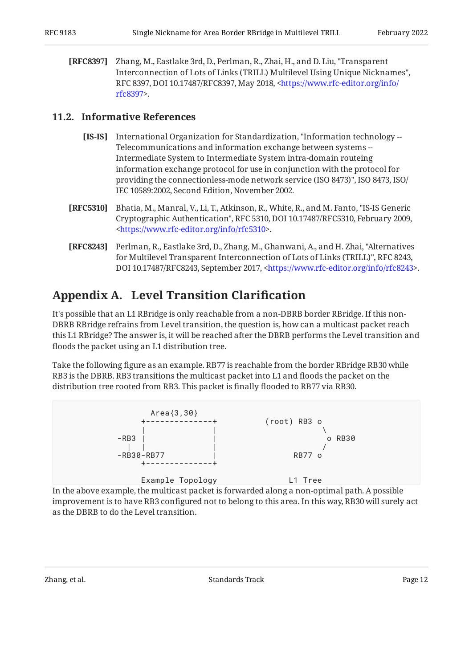<span id="page-11-3"></span>**[RFC8397]** Zhang, M., Eastlake 3rd, D., Perlman, R., Zhai, H., and D. Liu, "Transparent , Interconnection of Lots of Links (TRILL) Multilevel Using Unique Nicknames" RFC 8397, DOI 10.17487/RFC8397, May 2018, <[https://www.rfc-editor.org/info/](https://www.rfc-editor.org/info/rfc8397) . [rfc8397](https://www.rfc-editor.org/info/rfc8397)>

#### <span id="page-11-4"></span><span id="page-11-0"></span>**[11.2. Informative References](#page-11-0)**

- **[IS-IS]** International Organization for Standardization, "Information technology -providing the connectionless-mode network service (ISO 8473)", ISO 8473, ISO/ IEC 10589:2002, Second Edition, November 2002. Telecommunications and information exchange between systems -- Intermediate System to Intermediate System intra-domain routeing information exchange protocol for use in conjunction with the protocol for
- <span id="page-11-5"></span>**[RFC5310]** Bhatia, M., Manral, V., Li, T., Atkinson, R., White, R., and M. Fanto, "IS-IS Generic Cryptographic Authentication", RFC 5310, DOI 10.17487/RFC5310, February 2009, . [<https://www.rfc-editor.org/info/rfc5310](https://www.rfc-editor.org/info/rfc5310)>
- <span id="page-11-2"></span>**[RFC8243]** Perlman, R., Eastlake 3rd, D., Zhang, M., Ghanwani, A., and H. Zhai, "Alternatives for Multilevel Transparent Interconnection of Lots of Links (TRILL)", RFC 8243, DOI 10.17487/RFC8243, September 2017, <https://www.rfc-editor.org/info/rfc8243>.

# <span id="page-11-1"></span>**[Appendix A. Level Transition Clari](#page-11-1)fication**

It's possible that an L1 RBridge is only reachable from a non-DBRB border RBridge. If this non-DBRB RBridge refrains from Level transition, the question is, how can a multicast packet reach this L1 RBridge? The answer is, it will be reached after the DBRB performs the Level transition and floods the packet using an L1 distribution tree.

Take the following figure as an example. RB77 is reachable from the border RBridge RB30 while RB3 is the DBRB. RB3 transitions the multicast packet into L1 and floods the packet on the distribution tree rooted from RB3. This packet is finally flooded to RB77 via RB30.



In the above example, the multicast packet is forwarded along a non-optimal path. A possible improvement is to have RB3 configured not to belong to this area. In this way, RB30 will surely act as the DBRB to do the Level transition.